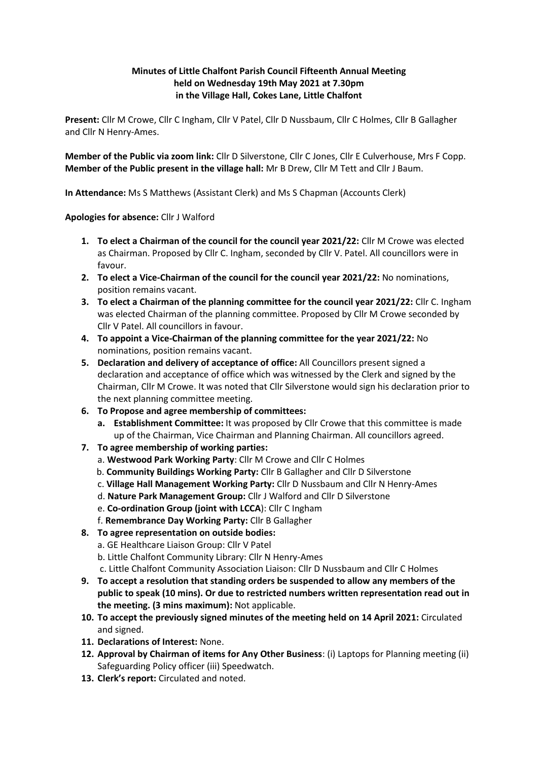## **Minutes of Little Chalfont Parish Council Fifteenth Annual Meeting held on Wednesday 19th May 2021 at 7.30pm in the Village Hall, Cokes Lane, Little Chalfont**

**Present:** Cllr M Crowe, Cllr C Ingham, Cllr V Patel, Cllr D Nussbaum, Cllr C Holmes, Cllr B Gallagher and Cllr N Henry-Ames.

**Member of the Public via zoom link:** Cllr D Silverstone, Cllr C Jones, Cllr E Culverhouse, Mrs F Copp. **Member of the Public present in the village hall:** Mr B Drew, Cllr M Tett and Cllr J Baum.

**In Attendance:** Ms S Matthews (Assistant Clerk) and Ms S Chapman (Accounts Clerk)

## **Apologies for absence:** Cllr J Walford

- **1. To elect a Chairman of the council for the council year 2021/22:** Cllr M Crowe was elected as Chairman. Proposed by Cllr C. Ingham, seconded by Cllr V. Patel. All councillors were in favour.
- **2. To elect a Vice-Chairman of the council for the council year 2021/22:** No nominations, position remains vacant.
- **3. To elect a Chairman of the planning committee for the council year 2021/22:** Cllr C. Ingham was elected Chairman of the planning committee. Proposed by Cllr M Crowe seconded by Cllr V Patel. All councillors in favour.
- **4. To appoint a Vice-Chairman of the planning committee for the year 2021/22:** No nominations, position remains vacant.
- **5. Declaration and delivery of acceptance of office:** All Councillors present signed a declaration and acceptance of office which was witnessed by the Clerk and signed by the Chairman, Cllr M Crowe. It was noted that Cllr Silverstone would sign his declaration prior to the next planning committee meeting.
- **6. To Propose and agree membership of committees:** 
	- **a. Establishment Committee:** It was proposed by Cllr Crowe that this committee is made up of the Chairman, Vice Chairman and Planning Chairman. All councillors agreed.
- **7. To agree membership of working parties:**
	- a. **Westwood Park Working Party**: Cllr M Crowe and Cllr C Holmes
	- b. **Community Buildings Working Party:** Cllr B Gallagher and Cllr D Silverstone
	- c. **Village Hall Management Working Party:** Cllr D Nussbaum and Cllr N Henry-Ames
	- d. **Nature Park Management Group:** Cllr J Walford and Cllr D Silverstone
	- e. **Co-ordination Group (joint with LCCA**): Cllr C Ingham
	- f. **Remembrance Day Working Party:** Cllr B Gallagher
- **8. To agree representation on outside bodies:** 
	- a. GE Healthcare Liaison Group: Cllr V Patel
	- b. Little Chalfont Community Library: Cllr N Henry-Ames
	- c. Little Chalfont Community Association Liaison: Cllr D Nussbaum and Cllr C Holmes
- **9. To accept a resolution that standing orders be suspended to allow any members of the public to speak (10 mins). Or due to restricted numbers written representation read out in the meeting. (3 mins maximum):** Not applicable.
- **10. To accept the previously signed minutes of the meeting held on 14 April 2021:** Circulated and signed.
- **11. Declarations of Interest:** None.
- **12. Approval by Chairman of items for Any Other Business**: (i) Laptops for Planning meeting (ii) Safeguarding Policy officer (iii) Speedwatch.
- **13. Clerk's report:** Circulated and noted.